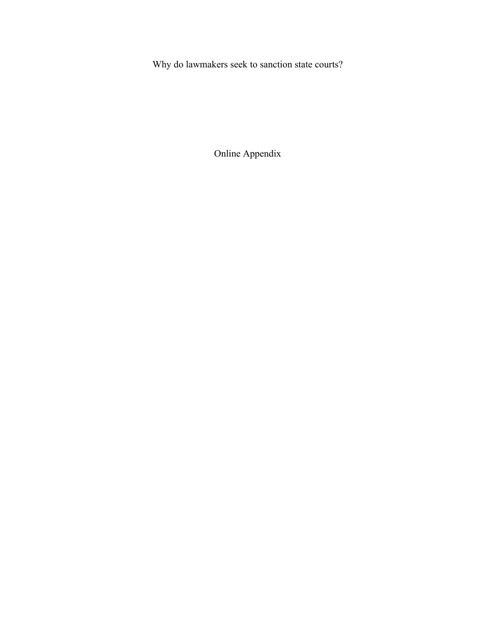Why do lawmakers seek to sanction state courts?

Online Appendix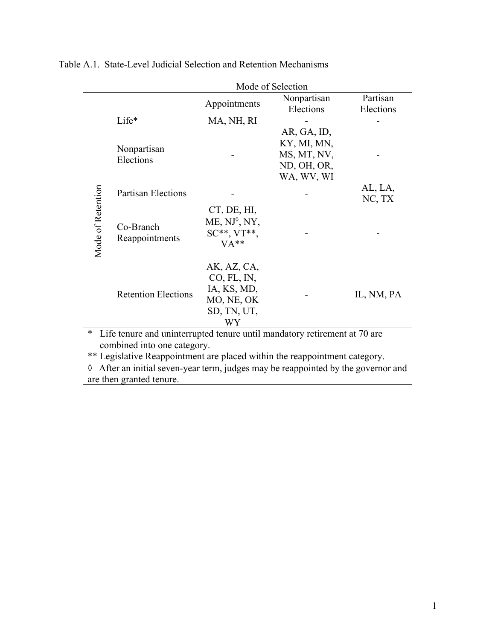|                                                                                |                             | Mode of Selection                                                             |                                                                        |                       |  |
|--------------------------------------------------------------------------------|-----------------------------|-------------------------------------------------------------------------------|------------------------------------------------------------------------|-----------------------|--|
|                                                                                |                             | Appointments                                                                  | Nonpartisan<br>Elections                                               | Partisan<br>Elections |  |
|                                                                                | Life*                       | MA, NH, RI                                                                    |                                                                        |                       |  |
|                                                                                | Nonpartisan<br>Elections    |                                                                               | AR, GA, ID,<br>KY, MI, MN,<br>MS, MT, NV,<br>ND, OH, OR,<br>WA, WV, WI |                       |  |
|                                                                                | <b>Partisan Elections</b>   |                                                                               |                                                                        | AL, LA,<br>NC, TX     |  |
| Mode of Retention                                                              | Co-Branch<br>Reappointments | CT, DE, HI,<br>ME, NJ <sup>o</sup> , NY,<br>$SC^{**}$ , $VT^{**}$ ,<br>$VA**$ |                                                                        |                       |  |
|                                                                                | <b>Retention Elections</b>  | AK, AZ, CA,<br>CO, FL, IN,<br>IA, KS, MD,<br>MO, NE, OK<br>SD, TN, UT,<br>WY  |                                                                        | IL, NM, PA            |  |
| *<br>Life tenure and uninterrupted tenure until mandatory retirement at 70 are |                             |                                                                               |                                                                        |                       |  |

Table A.1. State-Level Judicial Selection and Retention Mechanisms

combined into one category.

\*\* Legislative Reappointment are placed within the reappointment category.

 $\Diamond$  After an initial seven-year term, judges may be reappointed by the governor and are then granted tenure.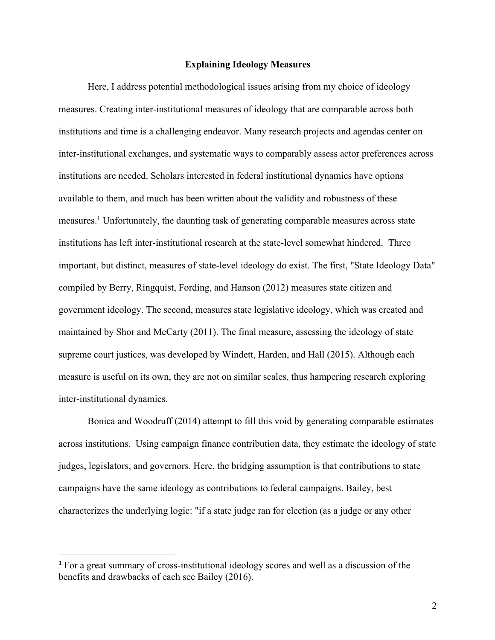## **Explaining Ideology Measures**

Here, I address potential methodological issues arising from my choice of ideology measures. Creating inter-institutional measures of ideology that are comparable across both institutions and time is a challenging endeavor. Many research projects and agendas center on inter-institutional exchanges, and systematic ways to comparably assess actor preferences across institutions are needed. Scholars interested in federal institutional dynamics have options available to them, and much has been written about the validity and robustness of these measures.1 Unfortunately, the daunting task of generating comparable measures across state institutions has left inter-institutional research at the state-level somewhat hindered. Three important, but distinct, measures of state-level ideology do exist. The first, "State Ideology Data" compiled by Berry, Ringquist, Fording, and Hanson (2012) measures state citizen and government ideology. The second, measures state legislative ideology, which was created and maintained by Shor and McCarty (2011). The final measure, assessing the ideology of state supreme court justices, was developed by Windett, Harden, and Hall (2015). Although each measure is useful on its own, they are not on similar scales, thus hampering research exploring inter-institutional dynamics.

Bonica and Woodruff (2014) attempt to fill this void by generating comparable estimates across institutions. Using campaign finance contribution data, they estimate the ideology of state judges, legislators, and governors. Here, the bridging assumption is that contributions to state campaigns have the same ideology as contributions to federal campaigns. Bailey, best characterizes the underlying logic: "if a state judge ran for election (as a judge or any other

<sup>1</sup> For a great summary of cross-institutional ideology scores and well as a discussion of the benefits and drawbacks of each see Bailey (2016).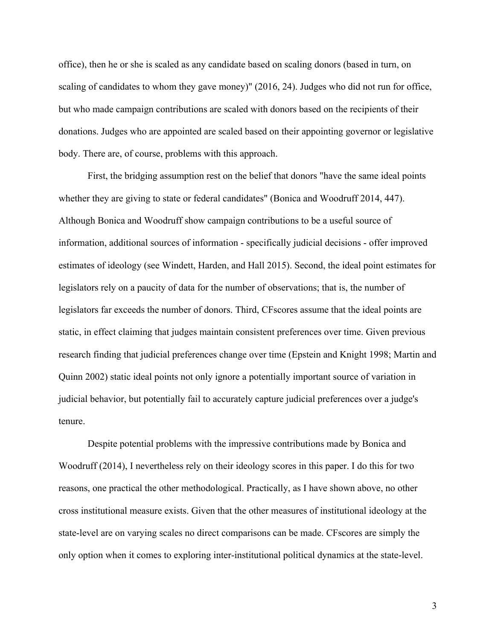office), then he or she is scaled as any candidate based on scaling donors (based in turn, on scaling of candidates to whom they gave money)" (2016, 24). Judges who did not run for office, but who made campaign contributions are scaled with donors based on the recipients of their donations. Judges who are appointed are scaled based on their appointing governor or legislative body. There are, of course, problems with this approach.

First, the bridging assumption rest on the belief that donors "have the same ideal points whether they are giving to state or federal candidates" (Bonica and Woodruff 2014, 447). Although Bonica and Woodruff show campaign contributions to be a useful source of information, additional sources of information - specifically judicial decisions - offer improved estimates of ideology (see Windett, Harden, and Hall 2015). Second, the ideal point estimates for legislators rely on a paucity of data for the number of observations; that is, the number of legislators far exceeds the number of donors. Third, CFscores assume that the ideal points are static, in effect claiming that judges maintain consistent preferences over time. Given previous research finding that judicial preferences change over time (Epstein and Knight 1998; Martin and Quinn 2002) static ideal points not only ignore a potentially important source of variation in judicial behavior, but potentially fail to accurately capture judicial preferences over a judge's tenure.

Despite potential problems with the impressive contributions made by Bonica and Woodruff (2014), I nevertheless rely on their ideology scores in this paper. I do this for two reasons, one practical the other methodological. Practically, as I have shown above, no other cross institutional measure exists. Given that the other measures of institutional ideology at the state-level are on varying scales no direct comparisons can be made. CFscores are simply the only option when it comes to exploring inter-institutional political dynamics at the state-level.

3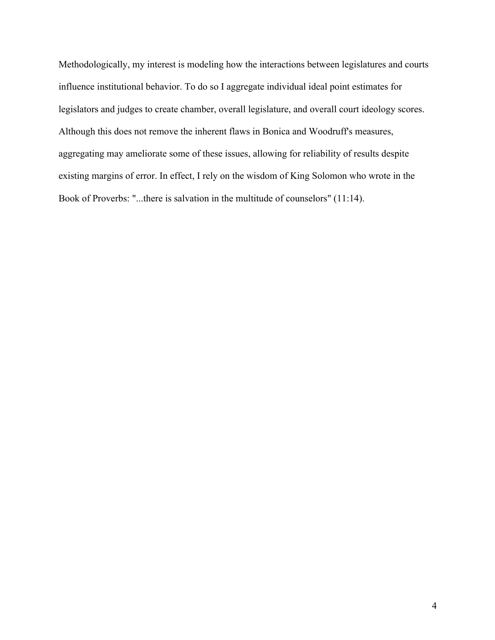Methodologically, my interest is modeling how the interactions between legislatures and courts influence institutional behavior. To do so I aggregate individual ideal point estimates for legislators and judges to create chamber, overall legislature, and overall court ideology scores. Although this does not remove the inherent flaws in Bonica and Woodruff's measures, aggregating may ameliorate some of these issues, allowing for reliability of results despite existing margins of error. In effect, I rely on the wisdom of King Solomon who wrote in the Book of Proverbs: "...there is salvation in the multitude of counselors" (11:14).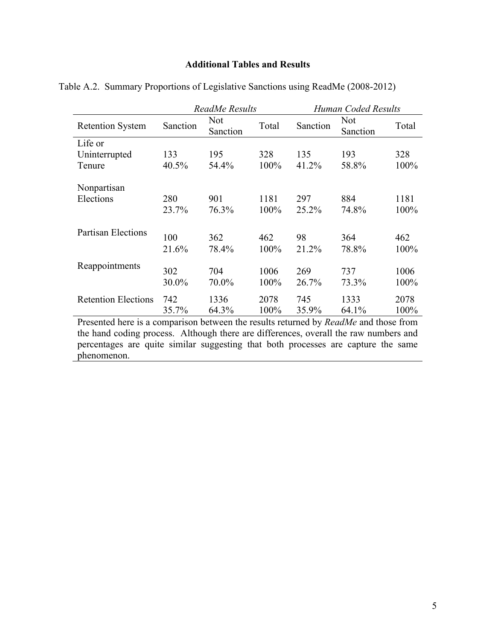## **Additional Tables and Results**

|                                                                                                                                         | ReadMe Results |                 | Human Coded Results |          |                        |       |
|-----------------------------------------------------------------------------------------------------------------------------------------|----------------|-----------------|---------------------|----------|------------------------|-------|
| <b>Retention System</b>                                                                                                                 | Sanction       | Not<br>Sanction | Total               | Sanction | <b>Not</b><br>Sanction | Total |
| Life or                                                                                                                                 |                |                 |                     |          |                        |       |
| Uninterrupted                                                                                                                           | 133            | 195             | 328                 | 135      | 193                    | 328   |
| Tenure                                                                                                                                  | 40.5%          | 54.4%           | 100%                | 41.2%    | 58.8%                  | 100%  |
| Nonpartisan                                                                                                                             |                |                 |                     |          |                        |       |
| Elections                                                                                                                               | 280            | 901             | 1181                | 297      | 884                    | 1181  |
|                                                                                                                                         | 23.7%          | 76.3%           | 100%                | 25.2%    | 74.8%                  | 100%  |
| <b>Partisan Elections</b>                                                                                                               | 100            | 362             | 462                 | 98       | 364                    | 462   |
|                                                                                                                                         | 21.6%          | 78.4%           | 100%                | 21.2%    | 78.8%                  | 100%  |
| Reappointments                                                                                                                          |                |                 |                     |          |                        |       |
|                                                                                                                                         | 302            | 704             | 1006                | 269      | 737                    | 1006  |
|                                                                                                                                         | 30.0%          | 70.0%           | 100%                | 26.7%    | 73.3%                  | 100%  |
| <b>Retention Elections</b>                                                                                                              | 742            | 1336            | 2078                | 745      | 1333                   | 2078  |
|                                                                                                                                         | 35.7%          | 64.3%           | 100%                | 35.9%    | 64.1%                  | 100%  |
| $\mathbf{n}$ 11<br>$\mathbf{r}$<br>$\mathbf{1}$ $\mathbf{1}$<br>$\blacksquare$<br>$\mathbf{1}$<br>ת 11<br>$\mathbf{1}$<br>$\frac{1}{1}$ |                |                 |                     |          |                        |       |

Table A.2. Summary Proportions of Legislative Sanctions using ReadMe (2008-2012)

Presented here is a comparison between the results returned by *ReadMe* and those from the hand coding process. Although there are differences, overall the raw numbers and percentages are quite similar suggesting that both processes are capture the same phenomenon.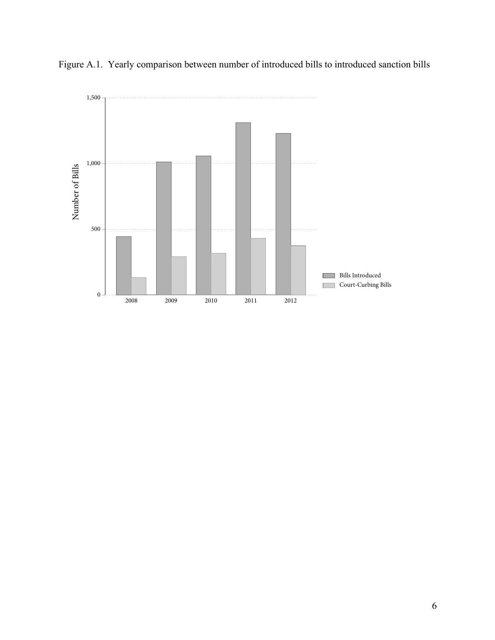

Figure A.1. Yearly comparison between number of introduced bills to introduced sanction bills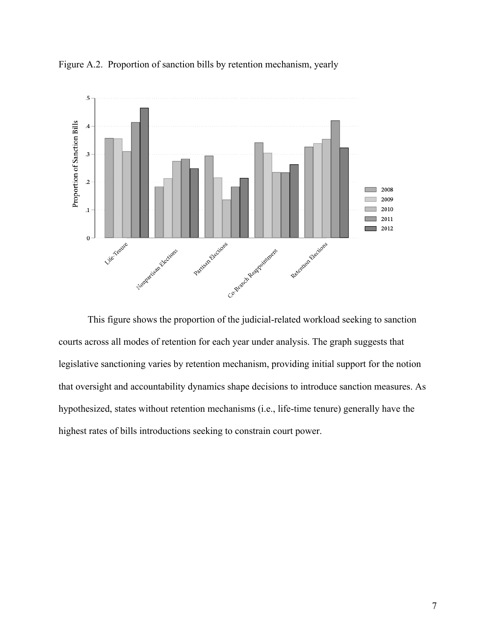

Figure A.2. Proportion of sanction bills by retention mechanism, yearly

This figure shows the proportion of the judicial-related workload seeking to sanction courts across all modes of retention for each year under analysis. The graph suggests that legislative sanctioning varies by retention mechanism, providing initial support for the notion that oversight and accountability dynamics shape decisions to introduce sanction measures. As hypothesized, states without retention mechanisms (i.e., life-time tenure) generally have the highest rates of bills introductions seeking to constrain court power.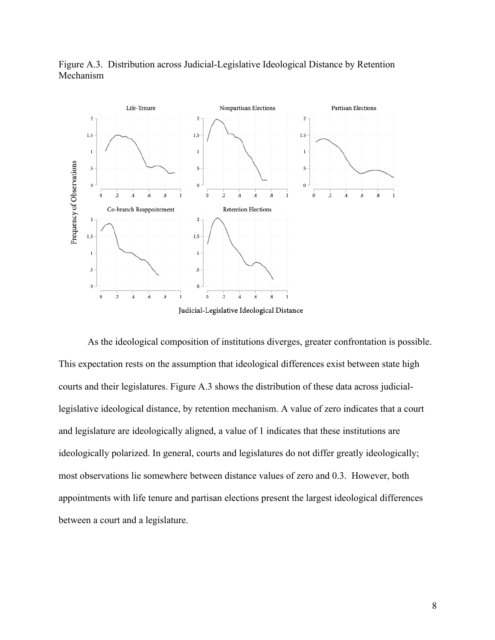

Figure A.3. Distribution across Judicial-Legislative Ideological Distance by Retention Mechanism

As the ideological composition of institutions diverges, greater confrontation is possible. This expectation rests on the assumption that ideological differences exist between state high courts and their legislatures. Figure A.3 shows the distribution of these data across judiciallegislative ideological distance, by retention mechanism. A value of zero indicates that a court and legislature are ideologically aligned, a value of 1 indicates that these institutions are ideologically polarized. In general, courts and legislatures do not differ greatly ideologically; most observations lie somewhere between distance values of zero and 0.3. However, both appointments with life tenure and partisan elections present the largest ideological differences between a court and a legislature.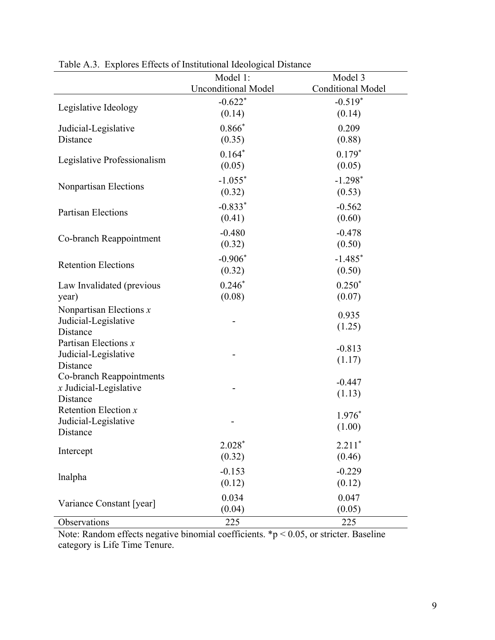|                             | Model 1:                   | Model 3                  |
|-----------------------------|----------------------------|--------------------------|
|                             | <b>Unconditional Model</b> | <b>Conditional Model</b> |
|                             | $-0.622*$                  | $-0.519*$                |
| Legislative Ideology        | (0.14)                     | (0.14)                   |
|                             | $0.866*$                   |                          |
| Judicial-Legislative        |                            | 0.209                    |
| Distance                    | (0.35)                     | (0.88)                   |
| Legislative Professionalism | $0.164*$                   | $0.179*$                 |
|                             | (0.05)                     | (0.05)                   |
|                             | $-1.055*$                  | $-1.298*$                |
| Nonpartisan Elections       | (0.32)                     | (0.53)                   |
|                             | $-0.833*$                  | $-0.562$                 |
| <b>Partisan Elections</b>   | (0.41)                     | (0.60)                   |
|                             |                            |                          |
| Co-branch Reappointment     | $-0.480$                   | $-0.478$                 |
|                             | (0.32)                     | (0.50)                   |
| <b>Retention Elections</b>  | $-0.906*$                  | $-1.485$ *               |
|                             | (0.32)                     | (0.50)                   |
| Law Invalidated (previous   | $0.246*$                   | $0.250*$                 |
| year)                       | (0.08)                     | (0.07)                   |
| Nonpartisan Elections $x$   |                            |                          |
| Judicial-Legislative        |                            | 0.935                    |
| Distance                    |                            | (1.25)                   |
| Partisan Elections $x$      |                            |                          |
| Judicial-Legislative        |                            | $-0.813$                 |
| Distance                    |                            | (1.17)                   |
| Co-branch Reappointments    |                            | $-0.447$                 |
| $x$ Judicial-Legislative    |                            | (1.13)                   |
| Distance                    |                            |                          |
| Retention Election $x$      |                            | 1.976*                   |
| Judicial-Legislative        |                            | (1.00)                   |
| Distance                    |                            |                          |
| Intercept                   | $2.028*$                   | $2.211*$                 |
|                             | (0.32)                     | (0.46)                   |
|                             | $-0.153$                   | $-0.229$                 |
| lnalpha                     | (0.12)                     | (0.12)                   |
|                             | 0.034                      | 0.047                    |
| Variance Constant [year]    | (0.04)                     | (0.05)                   |
| Observations                | 225                        | 225                      |

Table A.3. Explores Effects of Institutional Ideological Distance

Note: Random effects negative binomial coefficients.  $\sp{\ast}p < 0.05$ , or stricter. Baseline category is Life Time Tenure.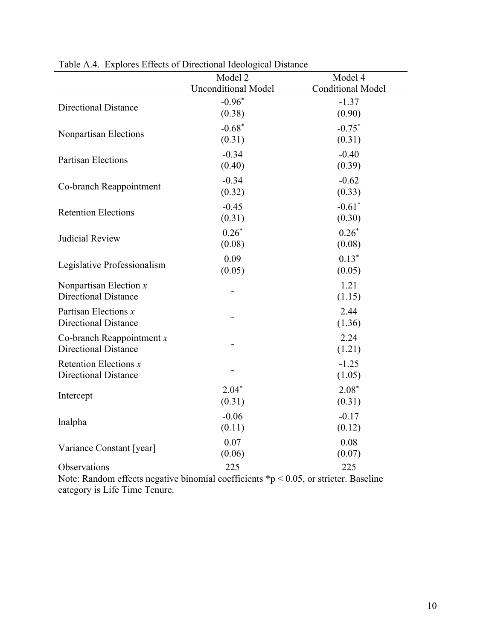|                             | - 0- -                     |                          |
|-----------------------------|----------------------------|--------------------------|
|                             | Model 2                    | Model 4                  |
|                             | <b>Unconditional Model</b> | <b>Conditional Model</b> |
| <b>Directional Distance</b> | $-0.96*$                   | $-1.37$                  |
|                             | (0.38)                     | (0.90)                   |
| Nonpartisan Elections       | $-0.68*$                   | $-0.75*$                 |
|                             | (0.31)                     | (0.31)                   |
| <b>Partisan Elections</b>   | $-0.34$                    | $-0.40$                  |
|                             | (0.40)                     | (0.39)                   |
|                             | $-0.34$                    | $-0.62$                  |
| Co-branch Reappointment     | (0.32)                     | (0.33)                   |
|                             | $-0.45$                    | $-0.61$ <sup>*</sup>     |
| <b>Retention Elections</b>  | (0.31)                     | (0.30)                   |
|                             | $0.26*$                    | $0.26*$                  |
| <b>Judicial Review</b>      | (0.08)                     | (0.08)                   |
|                             | 0.09                       | $0.13*$                  |
| Legislative Professionalism | (0.05)                     | (0.05)                   |
| Nonpartisan Election $x$    |                            | 1.21                     |
| <b>Directional Distance</b> |                            | (1.15)                   |
| Partisan Elections $x$      |                            | 2.44                     |
| <b>Directional Distance</b> |                            | (1.36)                   |
| Co-branch Reappointment $x$ |                            | 2.24                     |
| <b>Directional Distance</b> |                            | (1.21)                   |
| Retention Elections $x$     |                            | $-1.25$                  |
| <b>Directional Distance</b> |                            | (1.05)                   |
|                             | $2.04*$                    | $2.08*$                  |
| Intercept                   | (0.31)                     | (0.31)                   |
|                             | $-0.06$                    | $-0.17$                  |
| lnalpha                     | (0.11)                     | (0.12)                   |
|                             | 0.07                       | 0.08                     |
| Variance Constant [year]    | (0.06)                     | (0.07)                   |
| Observations                | 225                        | 225                      |

Table A.4. Explores Effects of Directional Ideological Distance

Note: Random effects negative binomial coefficients  $\sp{\ast}p < 0.05$ , or stricter. Baseline category is Life Time Tenure.

÷,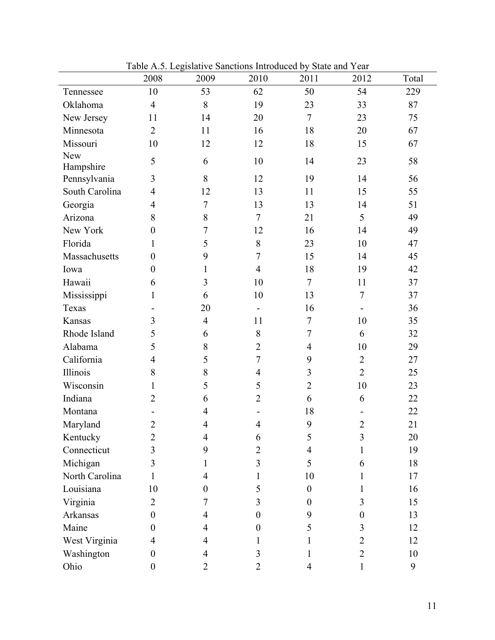|                | 2008             | 2009             | 2010                         | 2011             | 2012           | Total |
|----------------|------------------|------------------|------------------------------|------------------|----------------|-------|
| Tennessee      | 10               | 53               | 62                           | 50               | 54             | 229   |
| Oklahoma       | $\overline{4}$   | 8                | 19                           | 23               | 33             | 87    |
| New Jersey     | 11               | 14               | 20                           | $\overline{7}$   | 23             | 75    |
| Minnesota      | $\overline{2}$   | 11               | 16                           | 18               | 20             | 67    |
| Missouri       | 10               | 12               | 12                           | 18               | 15             | 67    |
| <b>New</b>     | 5                | 6                | 10                           | 14               | 23             | 58    |
| Hampshire      |                  |                  |                              |                  |                |       |
| Pennsylvania   | 3                | 8                | 12                           | 19               | 14             | 56    |
| South Carolina | $\overline{4}$   | 12               | 13                           | 11               | 15             | 55    |
| Georgia        | $\overline{4}$   | $\boldsymbol{7}$ | 13                           | 13               | 14             | 51    |
| Arizona        | 8                | 8                | $\overline{7}$               | 21               | 5              | 49    |
| New York       | $\boldsymbol{0}$ | $\tau$           | 12                           | 16               | 14             | 49    |
| Florida        | 1                | 5                | 8                            | 23               | 10             | 47    |
| Massachusetts  | $\boldsymbol{0}$ | 9                | $\overline{7}$               | 15               | 14             | 45    |
| Iowa           | $\boldsymbol{0}$ | $\mathbf{1}$     | $\overline{4}$               | 18               | 19             | 42    |
| Hawaii         | 6                | 3                | 10                           | $\overline{7}$   | 11             | 37    |
| Mississippi    | $\mathbf{1}$     | 6                | 10                           | 13               | $\tau$         | 37    |
| Texas          |                  | 20               | $\qquad \qquad \blacksquare$ | 16               |                | 36    |
| Kansas         | 3                | $\overline{4}$   | 11                           | $\tau$           | 10             | 35    |
| Rhode Island   | 5                | 6                | 8                            | $\overline{7}$   | 6              | 32    |
| Alabama        | 5                | 8                | $\overline{2}$               | $\overline{4}$   | 10             | 29    |
| California     | $\overline{4}$   | 5                | $\overline{7}$               | 9                | $\overline{2}$ | 27    |
| Illinois       | 8                | $8\,$            | $\overline{4}$               | 3                | $\overline{2}$ | 25    |
| Wisconsin      | 1                | 5                | 5                            | $\overline{2}$   | 10             | 23    |
| Indiana        | $\overline{2}$   | 6                | $\overline{2}$               | 6                | 6              | 22    |
| Montana        |                  | $\overline{4}$   |                              | 18               |                | 22    |
| Maryland       | $\overline{2}$   | 4                | $\overline{4}$               | 9                | $\overline{2}$ | 21    |
| Kentucky       | $\overline{c}$   | 4                | 6                            | 5                | $\overline{3}$ | 20    |
| Connecticut    | 3                | 9                | $\overline{2}$               | 4                | 1              | 19    |
| Michigan       | 3                |                  | 3                            | 5                | 6              | 18    |
| North Carolina | 1                | 4                |                              | 10               |                | 17    |
| Louisiana      | 10               | 0                | 5                            | $\boldsymbol{0}$ | 1              | 16    |
| Virginia       | $\overline{2}$   | 7                | 3                            | $\overline{0}$   | 3              | 15    |
| Arkansas       | $\overline{0}$   | 4                | $\overline{0}$               | 9                | $\theta$       | 13    |
| Maine          | $\overline{0}$   | 4                | $\theta$                     | 5                | 3              | 12    |
| West Virginia  | 4                | 4                | 1                            |                  | $\overline{2}$ | 12    |
| Washington     | $\boldsymbol{0}$ | 4                | 3                            | 1                | $\overline{2}$ | 10    |
| Ohio           | $\boldsymbol{0}$ | 2                | $\overline{2}$               | 4                | 1              | 9     |

Table A.5. Legislative Sanctions Introduced by State and Year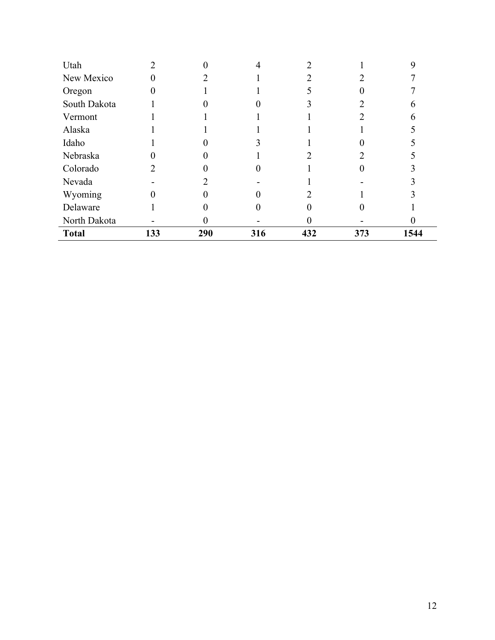| Utah         |     |     |     |     |     |      |
|--------------|-----|-----|-----|-----|-----|------|
| New Mexico   |     |     |     |     |     |      |
| Oregon       |     |     |     |     |     |      |
| South Dakota |     |     |     |     |     |      |
| Vermont      |     |     |     |     |     |      |
| Alaska       |     |     |     |     |     |      |
| Idaho        |     |     |     |     |     |      |
| Nebraska     |     |     |     |     |     |      |
| Colorado     |     |     |     |     |     |      |
| Nevada       |     |     |     |     |     |      |
| Wyoming      |     |     |     |     |     |      |
| Delaware     |     |     |     |     |     |      |
| North Dakota |     |     |     |     |     |      |
| <b>Total</b> | 133 | 290 | 316 | 432 | 373 | 1544 |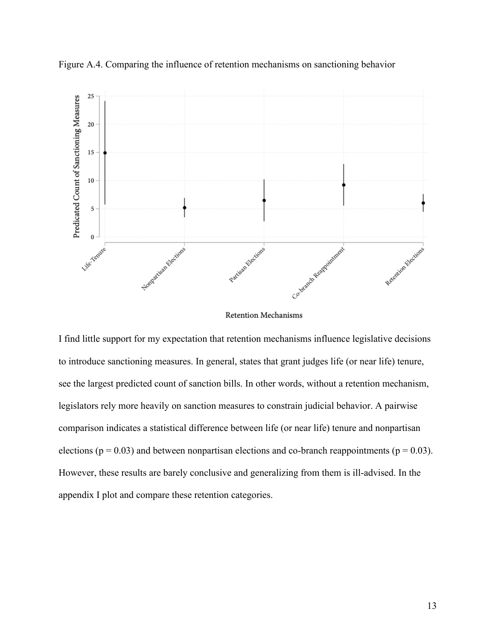

Figure A.4. Comparing the influence of retention mechanisms on sanctioning behavior

Retention Mechanisms

I find little support for my expectation that retention mechanisms influence legislative decisions to introduce sanctioning measures. In general, states that grant judges life (or near life) tenure, see the largest predicted count of sanction bills. In other words, without a retention mechanism, legislators rely more heavily on sanction measures to constrain judicial behavior. A pairwise comparison indicates a statistical difference between life (or near life) tenure and nonpartisan elections ( $p = 0.03$ ) and between nonpartisan elections and co-branch reappointments ( $p = 0.03$ ). However, these results are barely conclusive and generalizing from them is ill-advised. In the appendix I plot and compare these retention categories.